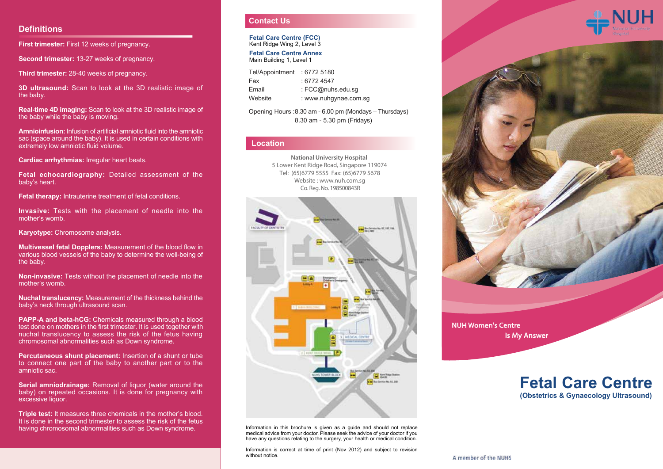#### **Definitions**

**First trimester:** First 12 weeks of pregnancy.

**Second trimester:** 13-27 weeks of pregnancy.

**Third trimester:** 28-40 weeks of pregnancy.

**3D ultrasound:** Scan to look at the 3D realistic image of the baby.

**Real-time 4D imaging:** Scan to look at the 3D realistic image of the baby while the baby is moving.

**Amnioinfusion:** Infusion of artificial amniotic fluid into the amniotic sac (space around the baby). It is used in certain conditions with extremely low amniotic fluid volume.

**Cardiac arrhythmias:** Irregular heart beats.

**Fetal echocardiography:** Detailed assessment of the baby's heart.

**Fetal therapy:** Intrauterine treatment of fetal conditions.

**Invasive:** Tests with the placement of needle into the mother's womb.

**Karyotype:** Chromosome analysis.

**Multivessel fetal Dopplers:** Measurement of the blood flow in various blood vessels of the baby to determine the well-being of the baby.

**Non-invasive:** Tests without the placement of needle into the mother's womb.

**Nuchal translucency:** Measurement of the thickness behind the baby's neck through ultrasound scan.

**PAPP-A and beta-hCG:** Chemicals measured through a blood test done on mothers in the first trimester. It is used together with nuchal translucency to assess the risk of the fetus having chromosomal abnormalities such as Down syndrome.

**Percutaneous shunt placement:** Insertion of a shunt or tube to connect one part of the baby to another part or to the amniotic sac.

**Serial amniodrainage:** Removal of liquor (water around the baby) on repeated occasions. It is done for pregnancy with excessive liquor.

**Triple test:** It measures three chemicals in the mother's blood. It is done in the second trimester to assess the risk of the fetus having chromosomal abnormalities such as Down syndrome.

#### **Contact Us**

**Fetal Care Centre (FCC)** Kent Ridge Wing 2, Level 3

**Fetal Care Centre Annex** Main Building 1, Level 1

| Tel/Appointment | :67725180             |
|-----------------|-----------------------|
| Fax             | : 67724547            |
| Email           | : FCC@nuhs.edu.sq     |
| Website         | : www.nuhgynae.com.sg |

Opening Hours : 8.30 am - 6.00 pm (Mondays – Thursdays) 8.30 am - 5.30 pm (Fridays)

#### **Location**

Co. Reg. No. 198500843R **National University Hospital**  5 Lower Kent Ridge Road, Singapore 119074 Website : www.nuh.com.sg Tel: (65)6779 5555 Fax: (65)6779 5678



Information in this brochure is given as a guide and should not replace medical advice from your doctor. Please seek the advice of your doctor if you have any questions relating to the surgery, your health or medical condition.

Information is correct at time of print (Nov 2012) and subject to revision without notice.





NUH Women's Centre Is My Answer

## **Fetal Care Centre (Obstetrics & Gynaecology Ultrasound)**